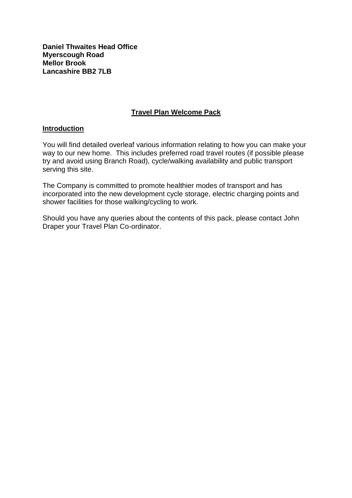**Daniel Thwaites Head Office Myerscough Road Mellor Brook Lancashire BB2 7LB**

## **Travel Plan Welcome Pack**

#### **Introduction**

You will find detailed overleaf various information relating to how you can make your way to our new home. This includes preferred road travel routes (if possible please try and avoid using Branch Road), cycle/walking availability and public transport serving this site.

The Company is committed to promote healthier modes of transport and has incorporated into the new development cycle storage, electric charging points and shower facilities for those walking/cycling to work.

Should you have any queries about the contents of this pack, please contact John Draper your Travel Plan Co-ordinator.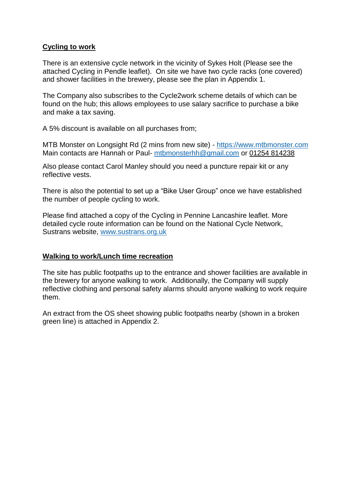# **Cycling to work**

There is an extensive cycle network in the vicinity of Sykes Holt (Please see the attached Cycling in Pendle leaflet). On site we have two cycle racks (one covered) and shower facilities in the brewery, please see the plan in Appendix 1.

The Company also subscribes to the Cycle2work scheme details of which can be found on the hub; this allows employees to use salary sacrifice to purchase a bike and make a tax saving.

A 5% discount is available on all purchases from;

MTB Monster on Longsight Rd (2 mins from new site) - [https://www.mtbmonster.com](https://www.mtbmonster.com/) Main contacts are Hannah or Paul- [mtbmonsterhh@gmail.com](mailto:mtbmonsterhh@gmail.com) or [01254 814238](https://www.google.co.uk/search?q=mtb+mionster&oq=mtb+mionster&aqs=chrome..69i57j35i39j0j69i60l3.3677j0j7&sourceid=chrome&ie=UTF-8)

Also please contact Carol Manley should you need a puncture repair kit or any reflective vests.

There is also the potential to set up a "Bike User Group" once we have established the number of people cycling to work.

Please find attached a copy of the Cycling in Pennine Lancashire leaflet. More detailed cycle route information can be found on the National Cycle Network, Sustrans website, [www.sustrans.org.uk](http://www.sustrans.org.uk/)

#### **Walking to work/Lunch time recreation**

The site has public footpaths up to the entrance and shower facilities are available in the brewery for anyone walking to work. Additionally, the Company will supply reflective clothing and personal safety alarms should anyone walking to work require them.

An extract from the OS sheet showing public footpaths nearby (shown in a broken green line) is attached in Appendix 2.